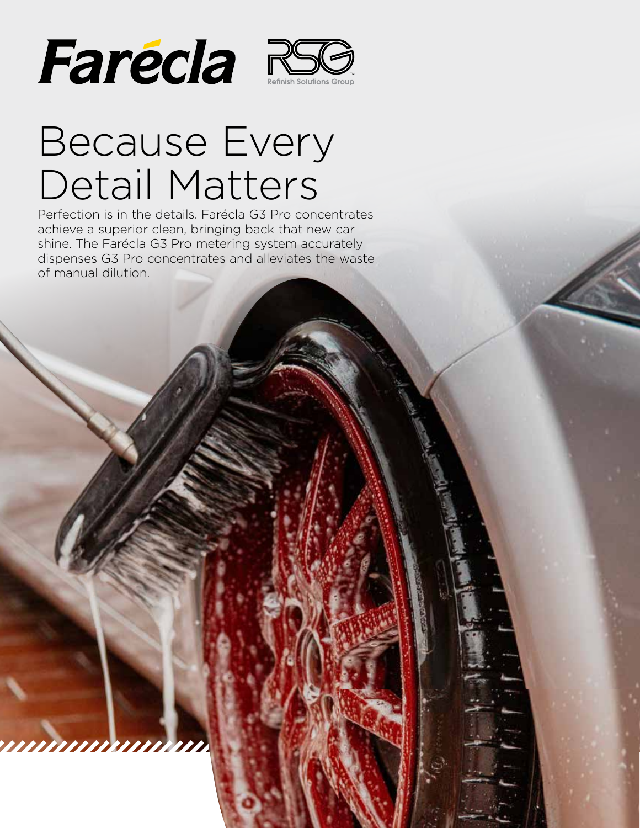

## Because Every Detail Matters

Perfection is in the details. Farécla G3 Pro concentrates achieve a superior clean, bringing back that new car shine. The Farécla G3 Pro metering system accurately dispenses G3 Pro concentrates and alleviates the waste of manual dilution.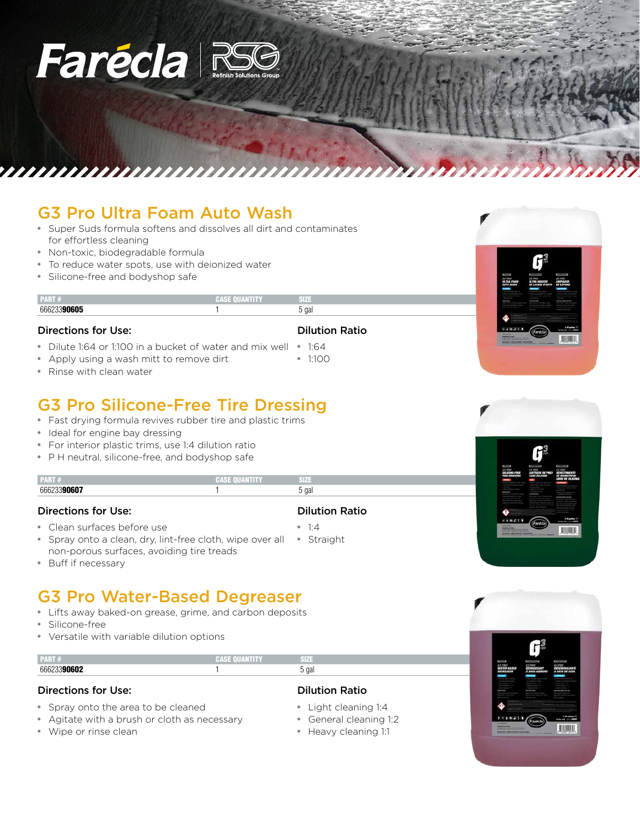# Farécia RS

## G3 Pro Ultra Foam Auto Wash

- Super Suds formula softens and dissolves all dirt and contaminates for effortless cleaning
- Non-toxic, biodegradable formula
- To reduce water spots, use with deionized water
- Silicone-free and bodyshop safe

|             | . |              |  |
|-------------|---|--------------|--|
| $\sim$<br>w |   | $\sim$<br>uđ |  |

#### Directions for Use:

- Dilute 1:64 or 1:100 in a bucket of water and mix well 1:64
- Apply using a wash mitt to remove dirt
- Rinse with clean water

## G3 Pro Silicone-Free Tire Dressing

- Fast drying formula revives rubber tire and plastic trims
- Ideal for engine bay dressing
- For interior plastic trims, use 1:4 dilution ratio
- P H neutral, silicone-free, and bodyshop safe

| -<br><br>PARI 7 | ---- | __<br>GHZ.<br>---   |
|-----------------|------|---------------------|
|                 |      | $\sim$<br>ud<br>. . |
|                 |      |                     |

### Directions for Use:

• Clean surfaces before use

- Dilution Ratio
- Spray onto a clean, dry, lint-free cloth, wipe over all Straight non-porous surfaces, avoiding tire treads • 1:4
- Buff if necessary

## G3 Pro Water-Based Degreaser

- Lifts away baked-on grease, grime, and carbon deposits
- Silicone-free
- Versatile with variable dilution options

| YAH #                        | AN III Y | 374             |
|------------------------------|----------|-----------------|
| - - - - - - -<br><b>666'</b> |          | $\sim$<br>ə yaı |
|                              |          |                 |

### Directions for Use:

- Spray onto the area to be cleaned
- Agitate with a brush or cloth as necessary • Wipe or rinse clean
- Dilution Ratio
- Light cleaning 1:4
- General cleaning 1:2
- Heavy cleaning 1:1









Dilution Ratio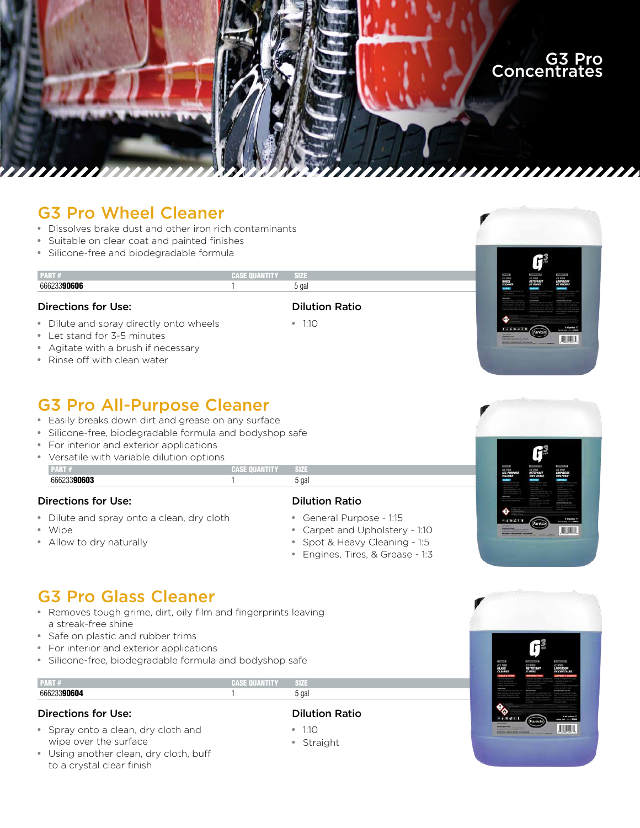

## G3 Pro Wheel Cleaner

• Dissolves brake dust and other iron rich contaminants

**PART #** CASE QUANTITY

- Suitable on clear coat and painted finishes
- Silicone-free and biodegradable formula

#### 66623390606 **1** 5 gal

#### Directions for Use:

- Dilute and spray directly onto wheels
- Let stand for 3-5 minutes
- Agitate with a brush if necessary
- Rinse off with clean water

## G3 Pro All-Purpose Cleaner

- Easily breaks down dirt and grease on any surface
- Silicone-free, biodegradable formula and bodyshop safe
- For interior and exterior applications
- Versatile with variable dilution options

#### **PART #** CASE QUANTITY SIZE 66623390603 1 5 gal

#### Directions for Use:

- Dilute and spray onto a clean, dry cloth
- Wipe
- Allow to dry naturally

#### Dilution Ratio

Dilution Ratio

• 1:10 • Straight

- General Purpose 1:15
- Carpet and Upholstery 1:10
- Spot & Heavy Cleaning 1:5
- Engines, Tires, & Grease 1:3



川湖川

## G3 Pro Glass Cleaner

- Removes tough grime, dirt, oily film and fingerprints leaving a streak-free shine
- Safe on plastic and rubber trims
- For interior and exterior applications
- Silicone-free, biodegradable formula and bodyshop safe

| .   | <b>Control of the Communication</b> | $\sim$ 10 |
|-----|-------------------------------------|-----------|
| nn. |                                     | __<br>ga  |

#### Directions for Use:

- Spray onto a clean, dry cloth and wipe over the surface
- Using another clean, dry cloth, buff to a crystal clear finish



## Dilution Ratio

- 1:10
-